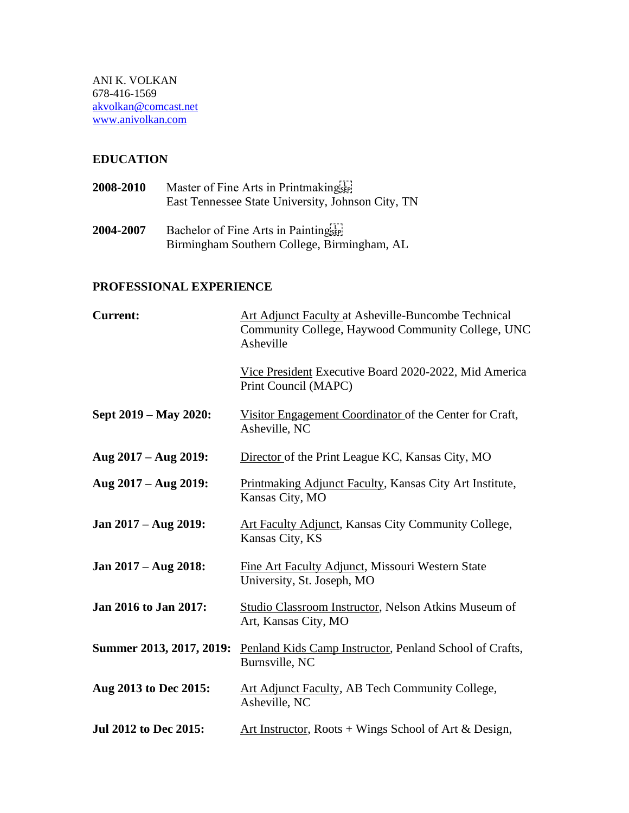### **EDUCATION**

| 2008-2010 | Master of Fine Arts in Printmakingsep             |
|-----------|---------------------------------------------------|
|           | East Tennessee State University, Johnson City, TN |
|           |                                                   |

**2004-2007** Bachelor of Fine Arts in Painting Birmingham Southern College, Birmingham, AL

## **PROFESSIONAL EXPERIENCE**

| <b>Current:</b>              | Art Adjunct Faculty at Asheville-Buncombe Technical<br>Community College, Haywood Community College, UNC<br>Asheville |
|------------------------------|-----------------------------------------------------------------------------------------------------------------------|
|                              | Vice President Executive Board 2020-2022, Mid America<br>Print Council (MAPC)                                         |
| Sept 2019 – May 2020:        | Visitor Engagement Coordinator of the Center for Craft,<br>Asheville, NC                                              |
| Aug 2017 – Aug 2019:         | Director of the Print League KC, Kansas City, MO                                                                      |
| Aug 2017 – Aug 2019:         | Printmaking Adjunct Faculty, Kansas City Art Institute,<br>Kansas City, MO                                            |
| Jan 2017 – Aug 2019:         | <b>Art Faculty Adjunct, Kansas City Community College,</b><br>Kansas City, KS                                         |
| Jan 2017 – Aug 2018:         | Fine Art Faculty Adjunct, Missouri Western State<br>University, St. Joseph, MO                                        |
| Jan 2016 to Jan 2017:        | Studio Classroom Instructor, Nelson Atkins Museum of<br>Art, Kansas City, MO                                          |
| Summer 2013, 2017, 2019:     | Penland Kids Camp Instructor, Penland School of Crafts,<br>Burnsville, NC                                             |
| Aug 2013 to Dec 2015:        | Art Adjunct Faculty, AB Tech Community College,<br>Asheville, NC                                                      |
| <b>Jul 2012 to Dec 2015:</b> | Art Instructor, Roots + Wings School of Art & Design,                                                                 |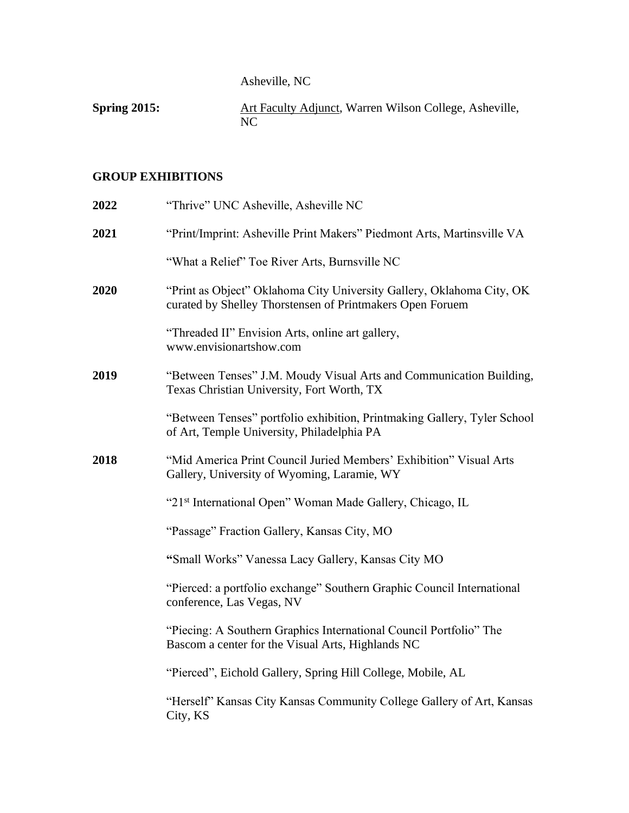Asheville, NC

**Spring 2015:** Art Faculty Adjunct, Warren Wilson College, Asheville, NC

## **GROUP EXHIBITIONS**

| 2022 | "Thrive" UNC Asheville, Asheville NC                                                                                               |
|------|------------------------------------------------------------------------------------------------------------------------------------|
| 2021 | "Print/Imprint: Asheville Print Makers" Piedmont Arts, Martinsville VA                                                             |
|      | "What a Relief" Toe River Arts, Burnsville NC                                                                                      |
| 2020 | "Print as Object" Oklahoma City University Gallery, Oklahoma City, OK<br>curated by Shelley Thorstensen of Printmakers Open Foruem |
|      | "Threaded II" Envision Arts, online art gallery,<br>www.envisionartshow.com                                                        |
| 2019 | "Between Tenses" J.M. Moudy Visual Arts and Communication Building,<br>Texas Christian University, Fort Worth, TX                  |
|      | "Between Tenses" portfolio exhibition, Printmaking Gallery, Tyler School<br>of Art, Temple University, Philadelphia PA             |
| 2018 | "Mid America Print Council Juried Members' Exhibition" Visual Arts<br>Gallery, University of Wyoming, Laramie, WY                  |
|      | "21 <sup>st</sup> International Open" Woman Made Gallery, Chicago, IL                                                              |
|      | "Passage" Fraction Gallery, Kansas City, MO                                                                                        |
|      | "Small Works" Vanessa Lacy Gallery, Kansas City MO                                                                                 |
|      | "Pierced: a portfolio exchange" Southern Graphic Council International<br>conference, Las Vegas, NV                                |
|      | "Piecing: A Southern Graphics International Council Portfolio" The<br>Bascom a center for the Visual Arts, Highlands NC            |
|      | "Pierced", Eichold Gallery, Spring Hill College, Mobile, AL                                                                        |
|      | "Herself" Kansas City Kansas Community College Gallery of Art, Kansas<br>City, KS                                                  |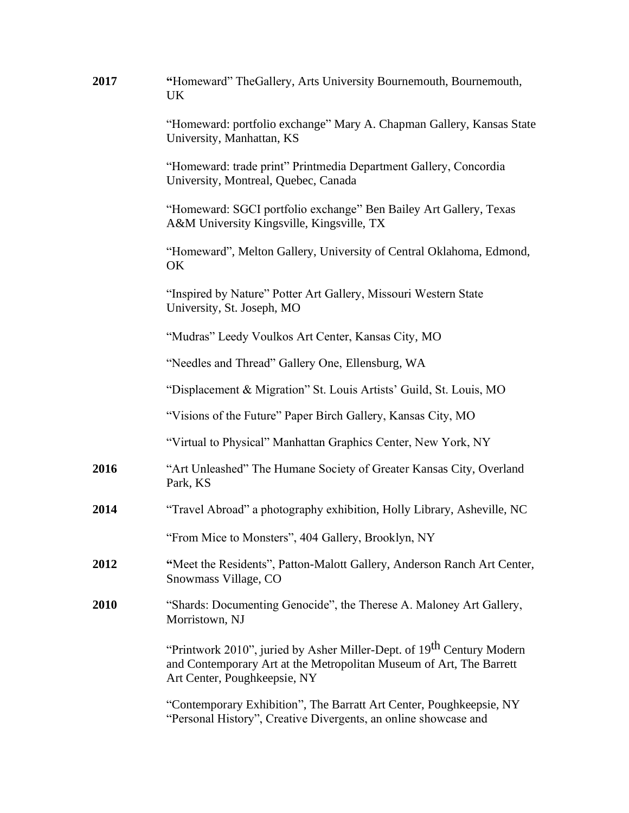| 2017 | "Homeward" TheGallery, Arts University Bournemouth, Bournemouth,<br>UK.                                                                                                                  |
|------|------------------------------------------------------------------------------------------------------------------------------------------------------------------------------------------|
|      | "Homeward: portfolio exchange" Mary A. Chapman Gallery, Kansas State<br>University, Manhattan, KS                                                                                        |
|      | "Homeward: trade print" Printmedia Department Gallery, Concordia<br>University, Montreal, Quebec, Canada                                                                                 |
|      | "Homeward: SGCI portfolio exchange" Ben Bailey Art Gallery, Texas<br>A&M University Kingsville, Kingsville, TX                                                                           |
|      | "Homeward", Melton Gallery, University of Central Oklahoma, Edmond,<br>OK                                                                                                                |
|      | "Inspired by Nature" Potter Art Gallery, Missouri Western State<br>University, St. Joseph, MO                                                                                            |
|      | "Mudras" Leedy Voulkos Art Center, Kansas City, MO                                                                                                                                       |
|      | "Needles and Thread" Gallery One, Ellensburg, WA                                                                                                                                         |
|      | "Displacement & Migration" St. Louis Artists' Guild, St. Louis, MO                                                                                                                       |
|      | "Visions of the Future" Paper Birch Gallery, Kansas City, MO                                                                                                                             |
|      | "Virtual to Physical" Manhattan Graphics Center, New York, NY                                                                                                                            |
| 2016 | "Art Unleashed" The Humane Society of Greater Kansas City, Overland<br>Park, KS                                                                                                          |
| 2014 | "Travel Abroad" a photography exhibition, Holly Library, Asheville, NC                                                                                                                   |
|      | "From Mice to Monsters", 404 Gallery, Brooklyn, NY                                                                                                                                       |
| 2012 | "Meet the Residents", Patton-Malott Gallery, Anderson Ranch Art Center,<br>Snowmass Village, CO                                                                                          |
| 2010 | "Shards: Documenting Genocide", the Therese A. Maloney Art Gallery,<br>Morristown, NJ                                                                                                    |
|      | "Printwork 2010", juried by Asher Miller-Dept. of 19 <sup>th</sup> Century Modern<br>and Contemporary Art at the Metropolitan Museum of Art, The Barrett<br>Art Center, Poughkeepsie, NY |
|      | "Contemporary Exhibition", The Barratt Art Center, Poughkeepsie, NY<br>"Personal History", Creative Divergents, an online showcase and                                                   |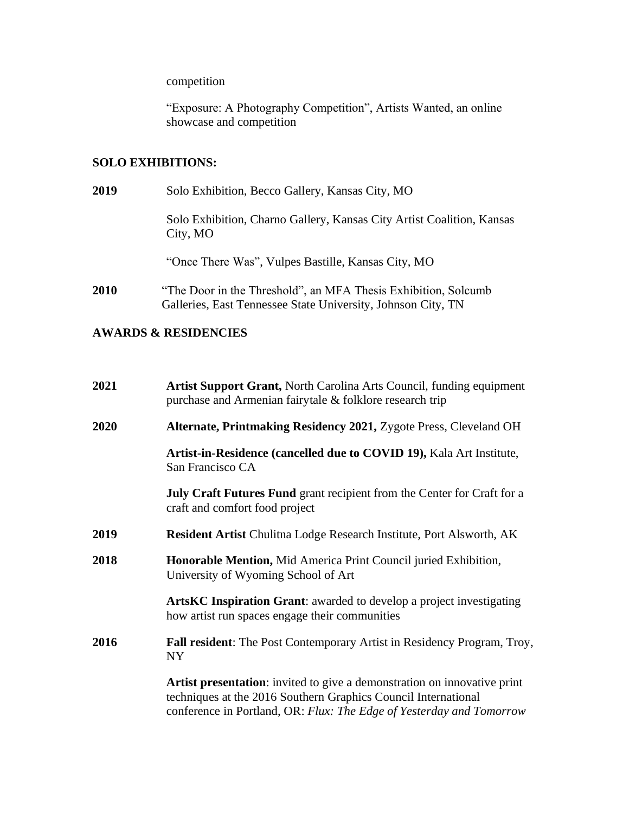competition

"Exposure: A Photography Competition", Artists Wanted, an online showcase and competition

## **SOLO EXHIBITIONS:**

| 2019 | Solo Exhibition, Becco Gallery, Kansas City, MO                                                                                |
|------|--------------------------------------------------------------------------------------------------------------------------------|
|      | Solo Exhibition, Charno Gallery, Kansas City Artist Coalition, Kansas<br>City, MO                                              |
|      | "Once There Was", Vulpes Bastille, Kansas City, MO                                                                             |
| 2010 | "The Door in the Threshold", an MFA Thesis Exhibition, Solcumb<br>Galleries, East Tennessee State University, Johnson City, TN |

## **AWARDS & RESIDENCIES**

| 2021 | <b>Artist Support Grant, North Carolina Arts Council, funding equipment</b><br>purchase and Armenian fairytale & folklore research trip                                                                            |
|------|--------------------------------------------------------------------------------------------------------------------------------------------------------------------------------------------------------------------|
| 2020 | Alternate, Printmaking Residency 2021, Zygote Press, Cleveland OH                                                                                                                                                  |
|      | Artist-in-Residence (cancelled due to COVID 19), Kala Art Institute,<br>San Francisco CA                                                                                                                           |
|      | <b>July Craft Futures Fund</b> grant recipient from the Center for Craft for a<br>craft and comfort food project                                                                                                   |
| 2019 | <b>Resident Artist Chulitna Lodge Research Institute, Port Alsworth, AK</b>                                                                                                                                        |
| 2018 | Honorable Mention, Mid America Print Council juried Exhibition,<br>University of Wyoming School of Art                                                                                                             |
|      | <b>ArtsKC Inspiration Grant:</b> awarded to develop a project investigating<br>how artist run spaces engage their communities                                                                                      |
| 2016 | Fall resident: The Post Contemporary Artist in Residency Program, Troy,<br>NY                                                                                                                                      |
|      | Artist presentation: invited to give a demonstration on innovative print<br>techniques at the 2016 Southern Graphics Council International<br>conference in Portland, OR: Flux: The Edge of Yesterday and Tomorrow |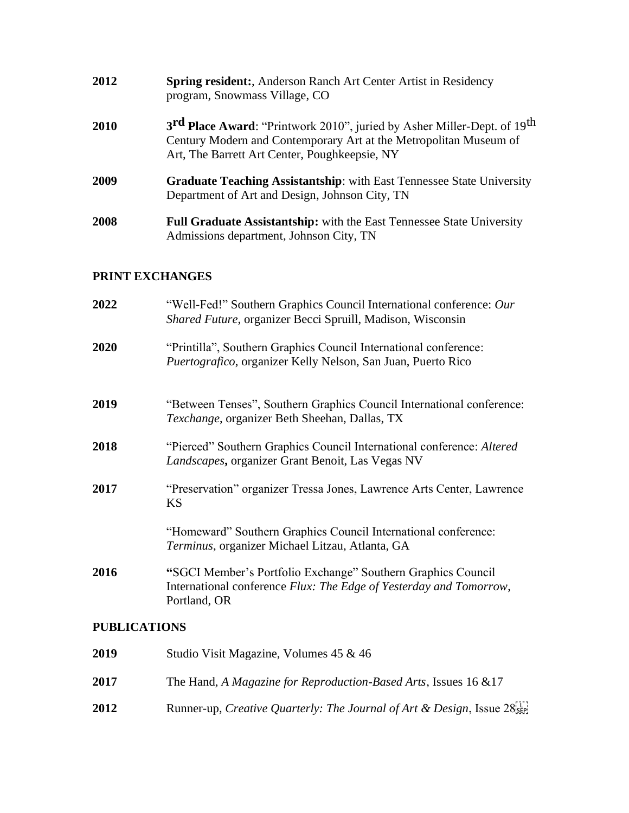| 2012 | <b>Spring resident:, Anderson Ranch Art Center Artist in Residency</b><br>program, Snowmass Village, CO                                                                                                               |
|------|-----------------------------------------------------------------------------------------------------------------------------------------------------------------------------------------------------------------------|
| 2010 | 3 <sup>rd</sup> Place Award: "Printwork 2010", juried by Asher Miller-Dept. of 19 <sup>th</sup><br>Century Modern and Contemporary Art at the Metropolitan Museum of<br>Art, The Barrett Art Center, Poughkeepsie, NY |
| 2009 | <b>Graduate Teaching Assistantship:</b> with East Tennessee State University<br>Department of Art and Design, Johnson City, TN                                                                                        |
| 2008 | Full Graduate Assistantship: with the East Tennessee State University<br>Admissions department, Johnson City, TN                                                                                                      |

# **PRINT EXCHANGES**

| 2022                | "Well-Fed!" Southern Graphics Council International conference: Our<br>Shared Future, organizer Becci Spruill, Madison, Wisconsin                  |
|---------------------|----------------------------------------------------------------------------------------------------------------------------------------------------|
| 2020                | "Printilla", Southern Graphics Council International conference:<br>Puertografico, organizer Kelly Nelson, San Juan, Puerto Rico                   |
| 2019                | "Between Tenses", Southern Graphics Council International conference:<br>Texchange, organizer Beth Sheehan, Dallas, TX                             |
| 2018                | "Pierced" Southern Graphics Council International conference: Altered<br>Landscapes, organizer Grant Benoit, Las Vegas NV                          |
| 2017                | "Preservation" organizer Tressa Jones, Lawrence Arts Center, Lawrence<br><b>KS</b>                                                                 |
|                     | "Homeward" Southern Graphics Council International conference:<br>Terminus, organizer Michael Litzau, Atlanta, GA                                  |
| 2016                | "SGCI Member's Portfolio Exchange" Southern Graphics Council<br>International conference Flux: The Edge of Yesterday and Tomorrow,<br>Portland, OR |
| <b>PUBLICATIONS</b> |                                                                                                                                                    |

| 2019 | Studio Visit Magazine, Volumes 45 & 46                                                          |
|------|-------------------------------------------------------------------------------------------------|
| 2017 | The Hand, A Magazine for Reproduction-Based Arts, Issues 16 & 17                                |
| 2012 | Runner-up, Creative Quarterly: The Journal of Art & Design, Issue $28^{\text{TT}}_{\text{SEP}}$ |